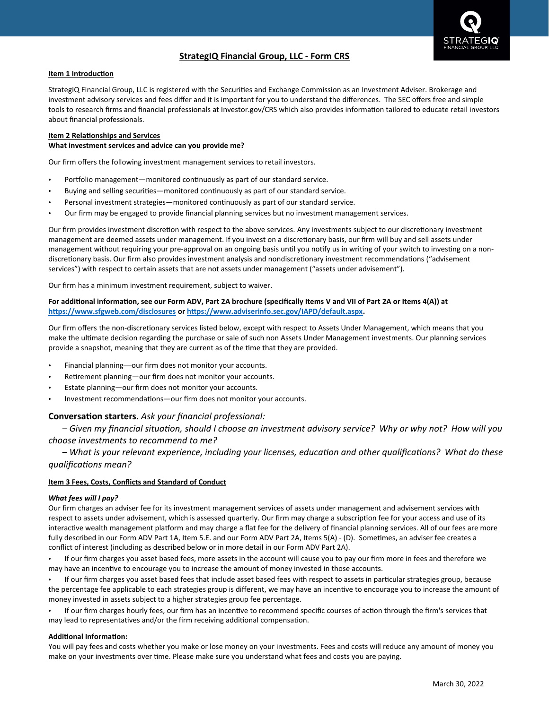

## **StrategIQ Financial Group, LLC - Form CRS**

#### **Item 1 Introduction**

StrategIQ Financial Group, LLC is registered with the Securities and Exchange Commission as an Investment Adviser. Brokerage and investment advisory services and fees differ and it is important for you to understand the differences. The SEC offers free and simple tools to research firms and financial professionals at Investor.gov/CRS which also provides information tailored to educate retail investors about financial professionals.

# **Item 2 Relationships and Services**

#### **What investment services and advice can you provide me?**

Our firm offers the following investment management services to retail investors.

- Portfolio management—monitored continuously as part of our standard service.
- Buying and selling securities—monitored continuously as part of our standard service.
- Personal investment strategies—monitored continuously as part of our standard service.
- Our firm may be engaged to provide financial planning services but no investment management services.

Our firm provides investment discretion with respect to the above services. Any investments subject to our discretionary investment management are deemed assets under management. If you invest on a discretionary basis, our firm will buy and sell assets under management without requiring your pre-approval on an ongoing basis until you notify us in writing of your switch to investing on a nondiscretionary basis. Our firm also provides investment analysis and nondiscretionary investment recommendations ("advisement services") with respect to certain assets that are not assets under management ("assets under advisement").

Our firm has a minimum investment requirement, subject to waiver.

#### For additional information, see our Form ADV, Part 2A brochure (specifically Items V and VII of Part 2A or Items 4(A)) at **https://www.sfgweb.com/disclosures or https://www.adviserinfo.sec.gov/IAPD/default.aspx.**

Our firm offers the non-discretionary services listed below, except with respect to Assets Under Management, which means that you make the ultimate decision regarding the purchase or sale of such non Assets Under Management investments. Our planning services provide a snapshot, meaning that they are current as of the time that they are provided.

- Financial planning—our firm does not monitor your accounts.
- Retirement planning—our firm does not monitor your accounts.
- Estate planning—our firm does not monitor your accounts.
- Investment recommendations—our firm does not monitor your accounts.

### **Conversation starters.** *Ask your financial professional:*

- Given my financial situation, should I choose an investment advisory service? Why or why not? How will you *choose investments to recommend to me?*

– What is your relevant experience, including your licenses, education and other qualifications? What do these *qualifications mean?*

#### **Item 3 Fees, Costs, Conflicts and Standard of Conduct**

#### *What fees will I pay?*

Our firm charges an adviser fee for its investment management services of assets under management and advisement services with respect to assets under advisement, which is assessed quarterly. Our firm may charge a subscription fee for your access and use of its interactive wealth management platform and may charge a flat fee for the delivery of financial planning services. All of our fees are more fully described in our Form ADV Part 1A, Item 5.E. and our Form ADV Part 2A, Items 5(A) - (D). Sometimes, an adviser fee creates a conflict of interest (including as described below or in more detail in our Form ADV Part 2A).

• If our firm charges you asset based fees, more assets in the account will cause you to pay our firm more in fees and therefore we may have an incentive to encourage you to increase the amount of money invested in those accounts.

• If our firm charges you asset based fees that include asset based fees with respect to assets in particular strategies group, because the percentage fee applicable to each strategies group is different, we may have an incentive to encourage you to increase the amount of money invested in assets subject to a higher strategies group fee percentage.

• If our firm charges hourly fees, our firm has an incentive to recommend specific courses of action through the firm's services that may lead to representatives and/or the firm receiving additional compensation.

#### **Additional Information:**

You will pay fees and costs whether you make or lose money on your investments. Fees and costs will reduce any amount of money you make on your investments over time. Please make sure you understand what fees and costs you are paying.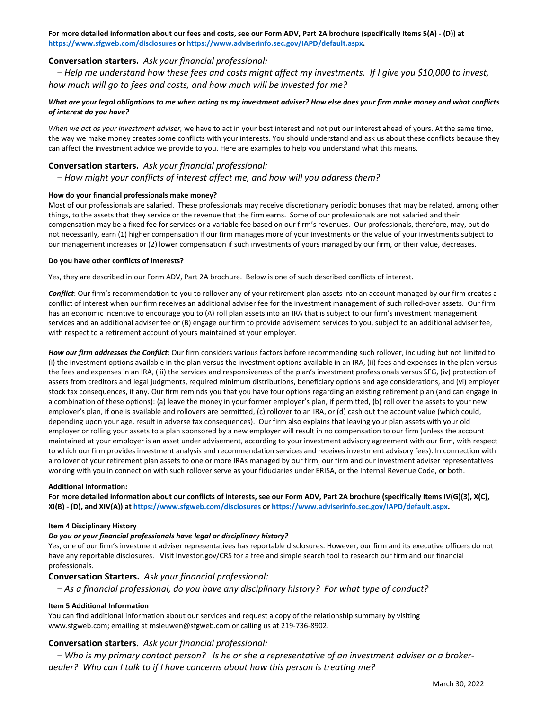**For more detailed information about our fees and costs, see our Form ADV, Part 2A brochure (specifically Items 5(A) - (D)) at <https://www.sfgweb.com/disclosures> o[r https://www.adviserinfo.sec.gov/IAPD/default.aspx.](https://www.adviserinfo.sec.gov/IAPD/default.aspx)**

## **Conversation starters.***Ask your financial professional:*

*– Help me understand how these fees and costs might affect my investments.  If I give you \$10,000 to invest, how much will go to fees and costs, and how much will be invested for me?*

#### *What are your legal obligations to me when acting as my investment adviser? How else does your firm make money and what conflicts of interest do you have?*

*When we act as your investment adviser,* we have to act in your best interest and not put our interest ahead of yours. At the same time, the way we make money creates some conflicts with your interests. You should understand and ask us about these conflicts because they can affect the investment advice we provide to you. Here are examples to help you understand what this means.

#### **Conversation starters.***Ask your financial professional:*

*– How might your conflicts of interest affect me, and how will you address them?*

#### **How do your financial professionals make money?**

Most of our professionals are salaried. These professionals may receive discretionary periodic bonuses that may be related, among other things, to the assets that they service or the revenue that the firm earns. Some of our professionals are not salaried and their compensation may be a fixed fee for services or a variable fee based on our firm's revenues. Our professionals, therefore, may, but do not necessarily, earn (1) higher compensation if our firm manages more of your investments or the value of your investments subject to our management increases or (2) lower compensation if such investments of yours managed by our firm, or their value, decreases.

#### **Do you have other conflicts of interests?**

Yes, they are described in our Form ADV, Part 2A brochure. Below is one of such described conflicts of interest.

*Conflict*: Our firm's recommendation to you to rollover any of your retirement plan assets into an account managed by our firm creates a conflict of interest when our firm receives an additional adviser fee for the investment management of such rolled-over assets. Our firm has an economic incentive to encourage you to (A) roll plan assets into an IRA that is subject to our firm's investment management services and an additional adviser fee or (B) engage our firm to provide advisement services to you, subject to an additional adviser fee, with respect to a retirement account of yours maintained at your employer.

*How our firm addresses the Conflict*: Our firm considers various factors before recommending such rollover, including but not limited to: (i) the investment options available in the plan versus the investment options available in an IRA, (ii) fees and expenses in the plan versus the fees and expenses in an IRA, (iii) the services and responsiveness of the plan's investment professionals versus SFG, (iv) protection of assets from creditors and legal judgments, required minimum distributions, beneficiary options and age considerations, and (vi) employer stock tax consequences, if any. Our firm reminds you that you have four options regarding an existing retirement plan (and can engage in a combination of these options): (a) leave the money in your former employer's plan, if permitted, (b) roll over the assets to your new employer's plan, if one is available and rollovers are permitted, (c) rollover to an IRA, or (d) cash out the account value (which could, depending upon your age, result in adverse tax consequences). Our firm also explains that leaving your plan assets with your old employer or rolling your assets to a plan sponsored by a new employer will result in no compensation to our firm (unless the account maintained at your employer is an asset under advisement, according to your investment advisory agreement with our firm, with respect to which our firm provides investment analysis and recommendation services and receives investment advisory fees). In connection with a rollover of your retirement plan assets to one or more IRAs managed by our firm, our firm and our investment adviser representatives working with you in connection with such rollover serve as your fiduciaries under ERISA, or the Internal Revenue Code, or both.

#### **Additional information:**

**For more detailed information about our conflicts of interests, see our Form ADV, Part 2A brochure (specifically Items IV(G)(3), X(C), XI(B) - (D), and XIV(A)) at<https://www.sfgweb.com/disclosures> o[r https://www.adviserinfo.sec.gov/IAPD/default.aspx.](https://www.adviserinfo.sec.gov/IAPD/default.aspx)** 

#### **Item 4 Disciplinary History**

#### *Do you or your financial professionals have legal or disciplinary history?*

Yes, one of our firm's investment adviser representatives has reportable disclosures. However, our firm and its executive officers do not have any reportable disclosures.  Visit Investor.gov/CRS for a free and simple search tool to research our firm and our financial professionals.

#### **Conversation Starters.***Ask your financial professional:*

*– As a financial professional, do you have any disciplinary history?  For what type of conduct?*

#### **Item 5 Additional Information**

You can find additional information about our services and request a copy of the relationship summary by visiting www.sfgweb.com; emailing at msleuwen@sfgweb.com or calling us at 219-736-8902.

#### **Conversation starters.***Ask your financial professional:*

*– Who is my primary contact person?   Is he or she a representative of an investment adviser or a brokerdealer?  Who can I talk to if I have concerns about how this person is treating me?*